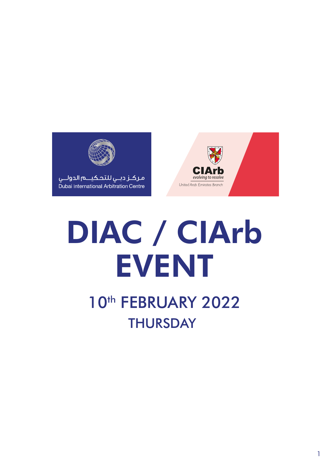



# DIAC / CIArb EVENT

# 10th FEBRUARY 2022 **THURSDAY**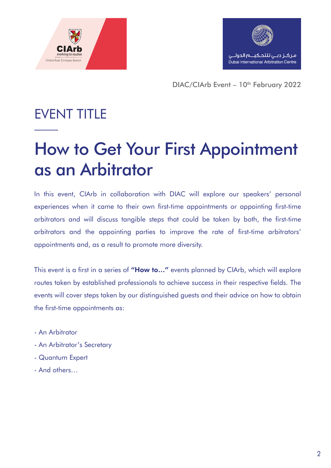



# EVENT TITLE

# How to Get Your First Appointment as an Arbitrator

In this event, CIArb in collaboration with DIAC will explore our speakers' personal experiences when it came to their own first-time appointments or appointing first-time arbitrators and will discuss tangible steps that could be taken by both, the first-time arbitrators and the appointing parties to improve the rate of first-time arbitrators' appointments and, as a result to promote more diversity.

This event is a first in a series of "How to..." events planned by CIArb, which will explore routes taken by established professionals to achieve success in their respective fields. The events will cover steps taken by our distinguished guests and their advice on how to obtain the first-time appointments as:

- An Arbitrator
- An Arbitrator's Secretary
- Quantum Expert
- And others…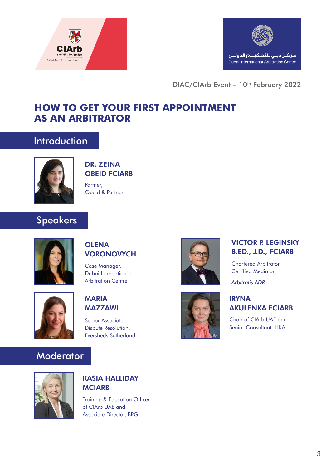



#### **HOW TO GET YOUR FIRST APPOINTMENT AS AN ARBITRATOR**

### Introduction



#### DR. ZEINA OBEID FCIARB

Partner, Obeid & Partners

### Speakers



#### **OLENA VORONOVYCH**

Case Manager, Dubai International Arbitration Centre



#### MARIA MAZZAWI

Senior Associate, Dispute Resolution, Eversheds Sutherland

#### **Moderator**



#### VICTOR P. LEGINSKY B.ED., J.D., FCIARB

Chartered Arbitrator, Certified Mediator

*Arbitralis ADR*



#### IRYNA AKULENKA FCIARB

Chair of CIArb UAE and Senior Consultant, HKA



#### KASIA HALLIDAY **MCIARB**

Training & Education Officer of CIArb UAE and Associate Director, BRG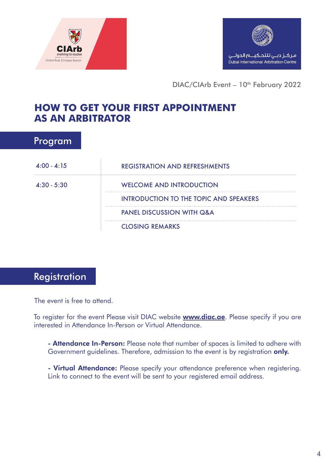



#### **HOW TO GET YOUR FIRST APPOINTMENT AS AN ARBITRATOR**

#### Program

| $4:00 - 4:15$ | <b>REGISTRATION AND REFRESHMENTS</b>          |
|---------------|-----------------------------------------------|
| $4:30 - 5:30$ | <b>WELCOME AND INTRODUCTION</b>               |
|               | <b>INTRODUCTION TO THE TOPIC AND SPEAKERS</b> |
|               | <b>PANEL DISCUSSION WITH Q&amp;A</b>          |
|               | <b>CLOSING REMARKS</b>                        |

#### **Registration**

The event is free to attend.

To register for the event Please visit DIAC website **www.diac.ae**. Please specify if you are interested in Attendance In-Person or Virtual Attendance.

- Attendance In-Person: Please note that number of spaces is limited to adhere with Government guidelines. Therefore, admission to the event is by registration only.

- Virtual Attendance: Please specify your attendance preference when registering. Link to connect to the event will be sent to your registered email address.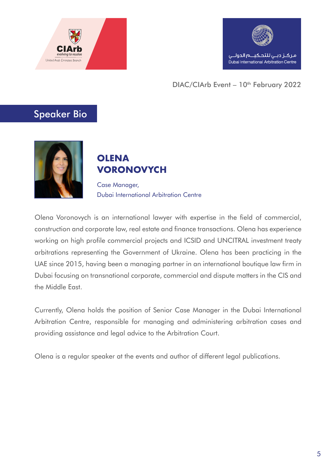



## Speaker Bio



#### **OLENA VORONOVYCH**

Case Manager, Dubai International Arbitration Centre

Olena Voronovych is an international lawyer with expertise in the field of commercial, construction and corporate law, real estate and finance transactions. Olena has experience working on high profile commercial projects and ICSID and UNCITRAL investment treaty arbitrations representing the Government of Ukraine. Olena has been practicing in the UAE since 2015, having been a managing partner in an international boutique law firm in Dubai focusing on transnational corporate, commercial and dispute matters in the CIS and the Middle East.

Currently, Olena holds the position of Senior Case Manager in the Dubai International Arbitration Centre, responsible for managing and administering arbitration cases and providing assistance and legal advice to the Arbitration Court.

Olena is a regular speaker at the events and author of different legal publications.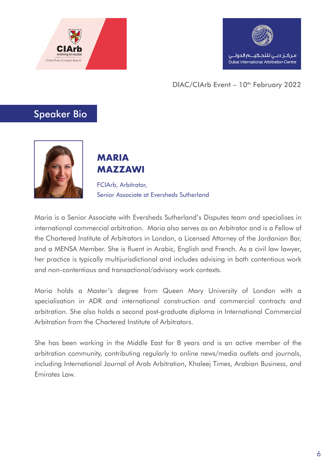



# Speaker Bio



**MARIA MAZZAWI**

FCIArb, Arbitrator, Senior Associate at Eversheds Sutherland

Maria is a Senior Associate with Eversheds Sutherland's Disputes team and specialises in international commercial arbitration. Maria also serves as an Arbitrator and is a Fellow of the Chartered Institute of Arbitrators in London, a Licensed Attorney of the Jordanian Bar, and a MENSA Member. She is fluent in Arabic, English and French. As a civil law lawyer, her practice is typically multijurisdictional and includes advising in both contentious work and non-contentious and transactional/advisory work contexts.

Maria holds a Master's degree from Queen Mary University of London with a specialisation in ADR and international construction and commercial contracts and arbitration. She also holds a second post-graduate diploma in International Commercial Arbitration from the Chartered Institute of Arbitrators.

She has been working in the Middle East for 8 years and is an active member of the arbitration community, contributing regularly to online news/media outlets and journals, including International Journal of Arab Arbitration, Khaleej Times, Arabian Business, and Emirates Law.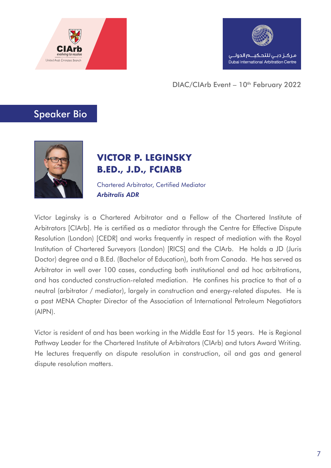



## Speaker Bio



## **VICTOR P. LEGINSKY B.ED., J.D., FCIARB**

Chartered Arbitrator, Certified Mediator *Arbitralis ADR*

Victor Leginsky is a Chartered Arbitrator and a Fellow of the Chartered Institute of Arbitrators [CIArb]. He is certified as a mediator through the Centre for Effective Dispute Resolution (London) [CEDR] and works frequently in respect of mediation with the Royal Institution of Chartered Surveyors (London) [RICS] and the CIArb. He holds a JD (Juris Doctor) degree and a B.Ed. (Bachelor of Education), both from Canada. He has served as Arbitrator in well over 100 cases, conducting both institutional and ad hoc arbitrations, and has conducted construction-related mediation. He confines his practice to that of a neutral (arbitrator / mediator), largely in construction and energy-related disputes. He is a past MENA Chapter Director of the Association of International Petroleum Negotiators (AIPN).

Victor is resident of and has been working in the Middle East for 15 years. He is Regional Pathway Leader for the Chartered Institute of Arbitrators (CIArb) and tutors Award Writing. He lectures frequently on dispute resolution in construction, oil and gas and general dispute resolution matters.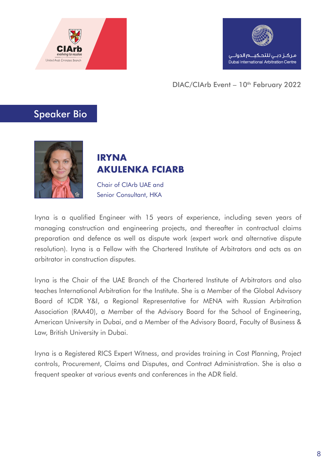



## Speaker Bio



#### **IRYNA AKULENKA FCIARB**

Chair of CIArb UAE and Senior Consultant, HKA

Iryna is a qualified Engineer with 15 years of experience, including seven years of managing construction and engineering projects, and thereafter in contractual claims preparation and defence as well as dispute work (expert work and alternative dispute resolution). Iryna is a Fellow with the Chartered Institute of Arbitrators and acts as an arbitrator in construction disputes.

Iryna is the Chair of the UAE Branch of the Chartered Institute of Arbitrators and also teaches International Arbitration for the Institute. She is a Member of the Global Advisory Board of ICDR Y&I, a Regional Representative for MENA with Russian Arbitration Association (RAA40), a Member of the Advisory Board for the School of Engineering, American University in Dubai, and a Member of the Advisory Board, Faculty of Business & Law, British University in Dubai.

Iryna is a Registered RICS Expert Witness, and provides training in Cost Planning, Project controls, Procurement, Claims and Disputes, and Contract Administration. She is also a frequent speaker at various events and conferences in the ADR field.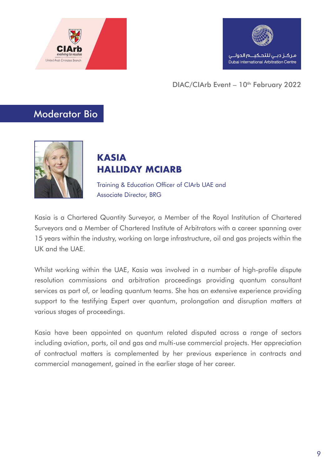



### Moderator Bio



### **KASIA HALLIDAY MCIARB**

Training & Education Officer of CIArb UAE and Associate Director, BRG

Kasia is a Chartered Quantity Surveyor, a Member of the Royal Institution of Chartered Surveyors and a Member of Chartered Institute of Arbitrators with a career spanning over 15 years within the industry, working on large infrastructure, oil and gas projects within the UK and the UAE.

Whilst working within the UAE, Kasia was involved in a number of high-profile dispute resolution commissions and arbitration proceedings providing quantum consultant services as part of, or leading quantum teams. She has an extensive experience providing support to the testifying Expert over quantum, prolongation and disruption matters at various stages of proceedings.

Kasia have been appointed on quantum related disputed across a range of sectors including aviation, ports, oil and gas and multi-use commercial projects. Her appreciation of contractual matters is complemented by her previous experience in contracts and commercial management, gained in the earlier stage of her career.